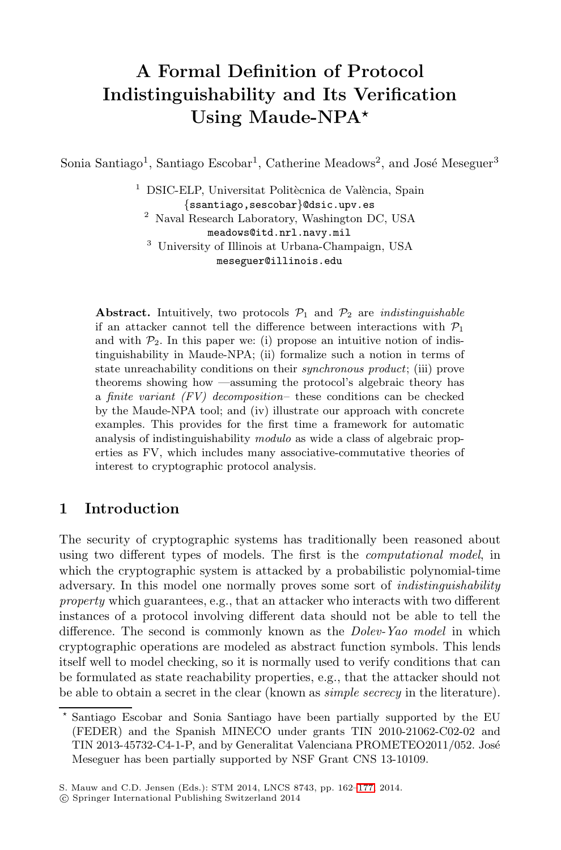# **A Formal Definition of Protocol Indistinguishability and Its Verification Using Maude-NPA***-*

Sonia Santiago<sup>1</sup>, Santiago Escobar<sup>1</sup>, Catherine Meadows<sup>2</sup>, and José Meseguer<sup>3</sup>

 $^{\rm 1}$  DSIC-ELP, Universitat Politècnica de València, Spain {ssantiago,sescobar}@dsic.upv.es <sup>2</sup> Naval Research Laboratory, Washington DC, USA meadows@itd.nrl.navy.mil <sup>3</sup> University of Illinois at Urbana-Champaign, USA meseguer@illinois.edu

**Abstract.** Intuitively, two protocols  $P_1$  and  $P_2$  are *indistinguishable* if an attacker cannot tell the difference between interactions with  $\mathcal{P}_1$ and with  $P_2$ . In this paper we: (i) propose an intuitive notion of indistinguishability in Maude-NPA; (ii) formalize such a notion in terms of state unreachability conditions on their *synchronous product*; (iii) prove theorems showing how —assuming the protocol's algebraic theory has a *finite variant (FV) decomposition*– these conditions can be checked by the Maude-NPA tool; and (iv) illustrate our approach with concrete examples. This provides for the first time a framework for automatic analysis of indistinguishability *modulo* as wide a class of algebraic properties as FV, which includes many associative-commutative theories of interest to cryptographic protocol analysis.

# **1 Introduction**

The security of cryptographic systems has traditionally been reasoned about using two different types of models. The first is the *computational model*, in which the cryptographic system is attacked by a probabilistic polynomial-time adversary. In this model one normally proves some sort of *indistinguishability property* which guarantees, e.g., that an attacker who interacts with two different instances of a protocol involving different data should not be able to tell the difference. The second is commonly known as the *Dolev-Yao model* in which cryptographic operations are modeled as abstract function symbols. This lends itself well to model checking, so it is normally used to verify conditions that can be formulated as state reachability [prop](#page-14-0)erties, e.g., that the attacker should not be able to obtain a secret in the clear (known as *simple secrecy* in the literature).

 $\star$  Santiago Escobar and Sonia Santiago have been partially supported by the EU (FEDER) and the Spanish MINECO under grants TIN 2010-21062-C02-02 and TIN 2013-45732-C4-1-P, and by Generalitat Valenciana PROMETEO2011/052. José Meseguer has been partially supported by NSF Grant CNS 13-10109.

S. Mauw and C.D. Jensen (Eds.): STM 2014, LNCS 8743, pp. 162–177, 2014.

<sup>-</sup>c Springer International Publishing Switzerland 2014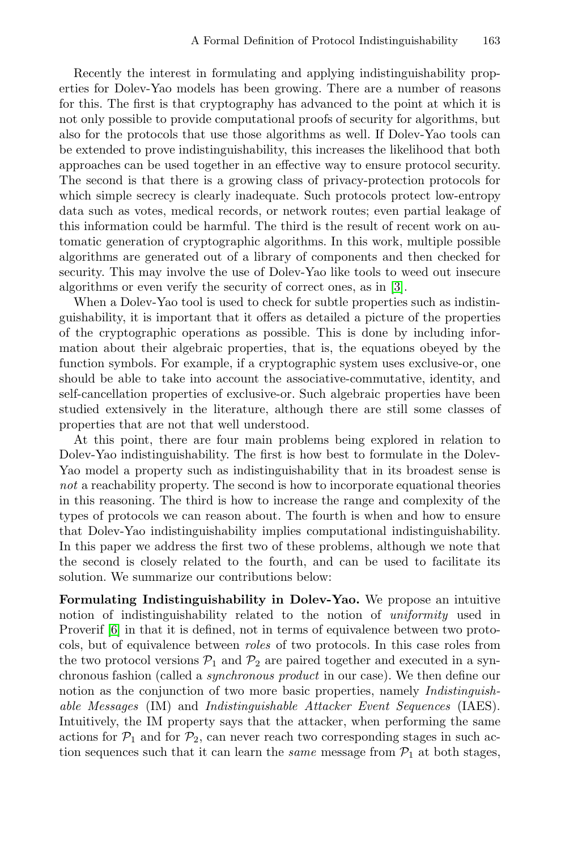Recently the interest in formulating and applying indistinguishability properties for Dolev-Yao models has been growing. There are a number of reasons for this. The first is that cryptography has advanced to the point at which it is not only possible to provide computational proofs of security for algorithms, but also for the protocols that use those algorithms as well. If Dolev-Yao tools can be extended to prove indistinguishability, this increases the likelihood that both approaches can be used together in an eff[ect](#page-15-0)ive way to ensure protocol security. The second is that there is a growing class of privacy-protection protocols for which simple secrecy is clearly inadequate. Such protocols protect low-entropy data such as votes, medical records, or network routes; even partial leakage of this information could be harmful. The third is the result of recent work on automatic generation of cryptographic algorithms. In this work, multiple possible algorithms are generated out of a library of components and then checked for security. This may involve the use of Dolev-Yao like tools to weed out insecure algorithms or even verify the security of correct ones, as in [3].

When a Dolev-Yao tool is used to check for subtle properties such as indistinguishability, it is important that it offers as detailed a picture of the properties of the cryptographic operations as possible. This is done by including information about their algebraic properties, that is, the equations obeyed by the function symbols. For example, if a cryptographic system uses exclusive-or, one should be able to take into account the associative-commutative, identity, and self-cancellation properties of exclusive-or. Such algebraic properties have been studied extensively in the literature, although there are still some classes of properties that are not that well understood.

At this point, there are four main problems being explored in relation to Dolev-Yao indistinguishability. The first is how best to formulate in the Dolev-Yao model a property such as indistinguishability that in its broadest sense is *not* a reachability property. The second is how to incorporate equational theories in this reasoning. The third is how to increase the range and complexity of the types of protocols we can reason about. The fourth is when and how to ensure that Dolev-Yao indistinguishability implies computational indistinguishability. In this paper we address the first two of these problems, although we note that the second is closely related to the fourth, and can be used to facilitate its solution. We summarize our contributions below:

**Formulating Indistinguishability in Dolev-Yao.** We propose an intuitive notion of indistinguishability related to the notion of *uniformity* used in Proverif [6] in that it is defined, not in terms of equivalence between two protocols, but of equivalence between *roles* of two protocols. In this case roles from the two protocol versions  $\mathcal{P}_1$  and  $\mathcal{P}_2$  are paired together and executed in a synchronous fashion (called a *synchronous product* in our case). We then define our notion as the conjunction of two more basic properties, namely *Indistinguishable Messages* (IM) and *Indistinguishable Attacker Event Sequences* (IAES). Intuitively, the IM property says that the attacker, when performing the same actions for  $\mathcal{P}_1$  and for  $\mathcal{P}_2$ , can never reach two corresponding stages in such action sequences such that it can learn the *same* message from  $P_1$  at both stages,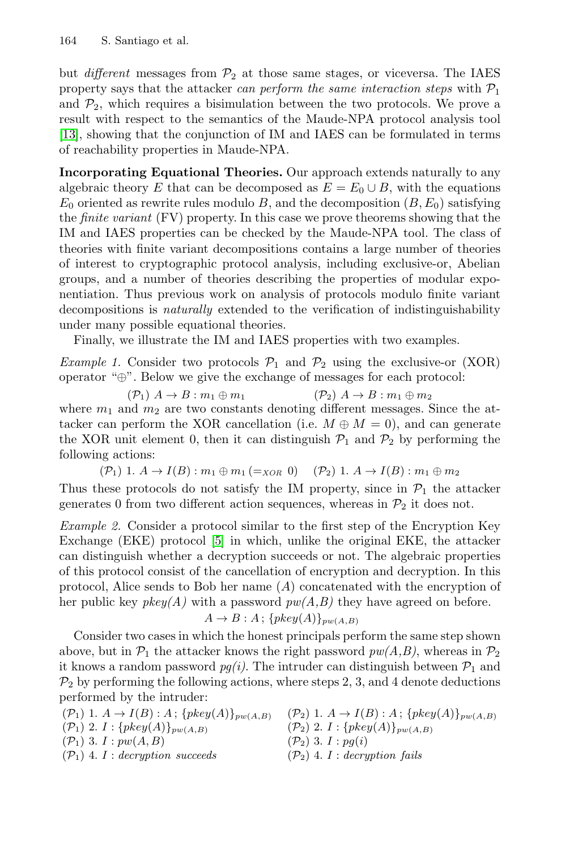<span id="page-2-0"></span>but *different* messages from  $P_2$  at those same stages, or viceversa. The IAES property says that the attacker *can perform the same interaction steps* with  $P_1$ and  $\mathcal{P}_2$ , which requires a bisimulation between the two protocols. We prove a result with respect to the semantics of the Maude-NPA protocol analysis tool [13], showing that the conjunction of IM and IAES can be formulated in terms of reachability properties in Maude-NPA.

**Incorporating Equational Theories.** Our approach extends naturally to any algebraic theory E that can be decomposed as  $E = E_0 \cup B$ , with the equations  $E_0$  oriented as rewrite rules modulo B, and the decomposition  $(B, E_0)$  satisfying the *finite variant* (FV) property. In this case we prove theorems showing that the IM and IAES properties can be checked by the Maude-NPA tool. The class of theories with finite variant decompositions contains a large number of theories of interest to cryptographic protocol analysis, including exclusive-or, Abelian groups, and a number of theories describing the properties of modular exponentiation. Thus previous work on analysis of protocols modulo finite variant decompositions is *naturally* extended to the verification of indistinguishability under many possible equational theories.

Finally, we illustrate the IM and IAES properties with two examples.

*Example 1.* Consider two protocols  $P_1$  and  $P_2$  using the exclusive-or (XOR) operator "⊕". Below we give the exchange of messages for each protocol:

 $(\mathcal{P}_1)$   $A \to B : m_1 \oplus m_1$   $(\mathcal{P}_2)$   $A \to B : m_1 \oplus m_2$ <br>where  $m_1$  and  $m_2$  are two constants denoting different messages. Since the attacker ca[n p](#page-15-1)erform the XOR cancellation (i.e.  $M \oplus M = 0$ ), and can generate the XOR unit element 0, then it can distinguish  $\mathcal{P}_1$  and  $\mathcal{P}_2$  by performing the following actions:

 $(\mathcal{P}_1)$  1.  $A \to I(B)$ :  $m_1 \oplus m_1 (=_{XOR} 0)$   $(\mathcal{P}_2)$  1.  $A \to I(B)$ :  $m_1 \oplus m_2$ 

Thus these protocols do not satisfy the IM property, since in  $\mathcal{P}_1$  the attacker generates 0 from two different action sequences, whereas in  $\mathcal{P}_2$  it does not.

*Example 2.* Consider a protocol similar to the first step of the Encryption Key Exchange (EKE) protocol [5] in which, unlike the original EKE, the attacker can distinguish whether a decryption succeeds or not. The algebraic properties of this protocol consist of the cancellation of encryption and decryption. In this protocol, Alice sends to Bob her name  $(A)$  concatenated with the encryption of her public key  $pkey(A)$  with a password  $pw(A,B)$  they have agreed on before.

$$
A \to B : A \,;\, \{pkey(A)\}_{pw(A,B)}
$$

 $A \to B : A$ ; { $pkey(A)$ }<sub> $pw(A,B)$ </sub><br>Consider two cases in which the honest principals perform the same step shown above, but in  $\mathcal{P}_1$  the attacker knows the right password  $pw(A,B)$ , whereas in  $\mathcal{P}_2$ it knows a random password  $pg(i)$ . The intruder can distinguish between  $\mathcal{P}_1$  and  $\mathcal{P}_2$  by performing the following actions, where steps 2, 3, and 4 denote deductions performed by the intruder:

$$
(P_1) 1. A \rightarrow I(B): A; \{pkey(A)\}_{pw(A,B)} \qquad (P_2) 1. A \rightarrow I(B): A; \{pkey(A)\}_{pw(A,B)}
$$
  
\n
$$
(P_1) 2. I: \{pkey(A)\}_{pw(A,B)} \qquad (P_2) 2. I: \{pkey(A)\}_{pw(A,B)}
$$
  
\n
$$
(P_1) 3. I: pw(A, B) \qquad (P_2) 3. I: pg(i)
$$
  
\n
$$
(P_1) 4. I: decryption succeeds \qquad (P_2) 4. I: decryption fails
$$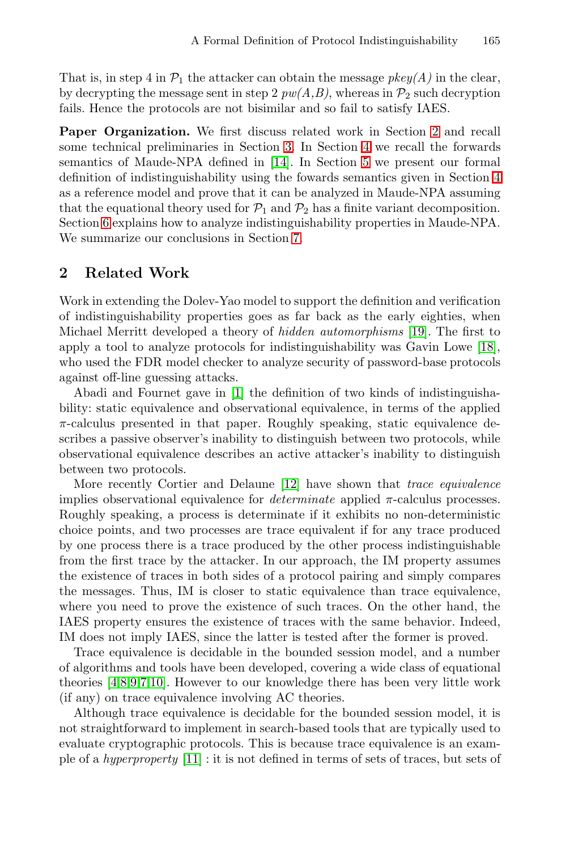That is, in step 4 in  $\mathcal{P}_1$  the attacker can obtain the message  $pkey(A)$  in the clear, by decrypting the message sent in step 2  $pw(A,B)$ , whereas in  $\mathcal{P}_2$  such decryption fails. Hence the protocols are not bisimilar and so fail to satisfy IAES.

**Paper Organization.** [W](#page-14-1)e first discuss related work in Section 2 and recall some technical preliminaries in Section 3. In Section 4 we recall the forwards semantics of Maude-NPA defined in [14]. In Section 5 we present our formal definition of indistinguishability using the fowards semantics given in Section 4 as a reference model and prove that it can be analyzed in Maude-NPA assuming t[ha](#page-15-2)t the equational theory used for  $\mathcal{P}_1$  and  $\mathcal{P}_2$  has a finite variant decomposition. Section 6 explains how to analyze indistinguishability pro[pert](#page-15-3)ies in Maude-NPA. We summarize our conclusions in Section 7.

# **2 Relate[d](#page-14-2) Work**

Work in extending the Dolev-Yao model to support the definition and verification of indistinguishability properties goes as far back as the early eighties, when Michael Merritt developed a theory of *hidden automorphisms* [19]. The first to apply a tool to analyze protocols for indistinguishability was Gavin Lowe [18], who used the FDR mo[del](#page-15-4) checker to analyze security of password-base protocols against off-line guessing attacks.

Abadi and Fournet gave in [1] the definition of two kinds of indistinguishability: static equivalence and observational equivalence, in terms of the applied  $\pi$ -calculus presented in that paper. Roughly speaking, static equivalence describes a passive observer's inability to distinguish between two protocols, while observational equivalence describes an active attacker's inability to distinguish between two protocols.

More recently Cortier and Delaune [12] have shown that *trace equivalence* implies observational equivalence for *determinate* applied π-calculus processes. Roughly speaking, a process is determinate if it exhibits no non-deterministic choice points, and two processes are trace equivalent if for any trace produced by one process there is a trace produced by the other process indistinguishable [fr](#page-15-5)om the first trace by the attacker. In our approach, the IM property assumes the existence of traces in both sides of a protocol pairing and simply compares the messages. Thus, IM is closer to static equivalence than trace equivalence, where you need to prove the existence of such traces. On the other hand, the IAES property ensures the existence of traces with the same behavior. Indeed, IM [does](#page-15-6) not imply IAES, since the latter is tested after the former is proved.

Trace equivalence is decidable in the bounded session model, and a number of algorithms and tools have been developed, covering a wide class of equational theories [4,8,9,7,10]. However to our knowledge there has been very little work (if any) on trace equivalence involving AC theories.

Although trace equivalence is decidable for the bounded session model, it is not straightforward to implement in search-based tools that are typically used to evaluate cryptographic protocols. This is because trace equivalence is an example of a *hyperproperty* [11] : it is not defined in terms of sets of traces, but sets of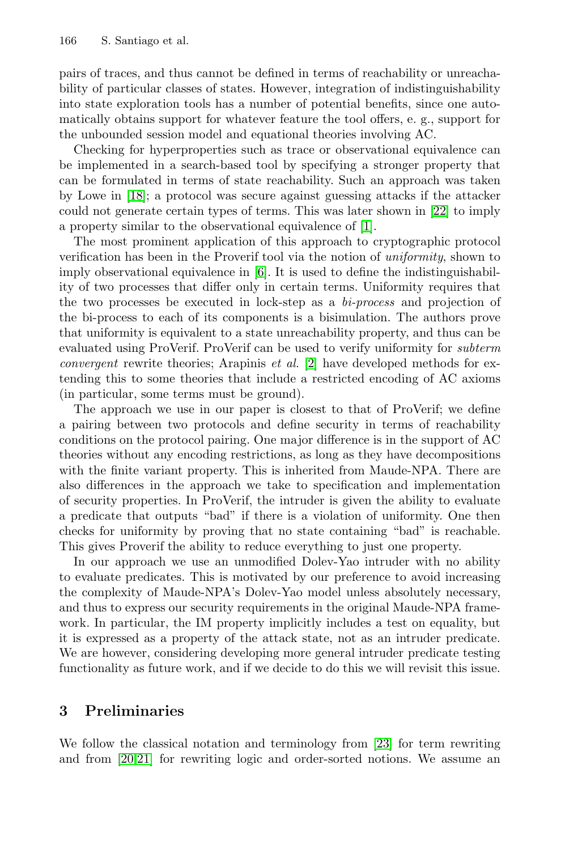pairs of traces, and thus cannot be defined in terms of reachability or unreachability of particular classes of states. However, int[egra](#page-15-7)tion of indistinguishability into state exploration tools has a n[um](#page-14-2)ber of potential benefits, since one automatically obtains support for whatever feature the tool offers, e. g., support for the unbounded session model and equational theories involving AC.

Checking for h[yp](#page-15-8)erproperties such as trace or observational equivalence can be implemented in a search-based tool by specifying a stronger property that can be formulated in terms of state reachability. Such an approach was taken by Lowe in [18]; a protocol was secure against guessing attacks if the attacker could not generate certain types of terms. This was later shown in [22] to imply a property similar to the observational equivalence of [1].

The most prominent a[ppl](#page-14-3)ication of this approach to cryptographic protocol verification has been in the Proverif tool via the notion of *uniformity*, shown to imply observational equivalence in  $[6]$ . It is used to define the indistinguishability of two processes that differ only in certain terms. Uniformity requires that the two processes be executed in lock-step as a *bi-process* and projection of the bi-process to each of its components is a bisimulation. The authors prove that uniformity is equivalent to a state unreachability property, and thus can be evaluated using ProVerif. ProVerif can be used to verify uniformity for *subterm convergent* rewrite theories; Arapinis *et al.* [2] have developed methods for extending this to some theories that include a restricted encoding of AC axioms (in particular, some terms must be ground).

The approach we use in our paper is closest to that of ProVerif; we define a pairing between two protocols and define security in terms of reachability conditions on the protocol pairing. One major difference is in the support of AC theories without any encoding restrictions, as long as they have decompositions with the finite variant property. This is inherited from Maude-NPA. There are also differences in the approach we take to specification and implementation of security properties. In ProVerif, the intruder is given the ability to evaluate a predicate that outputs "bad" if there is a violation of uniformity. One then checks for uniformity by proving that no state containing "bad" is reachable. This gives Proverif the ability to reduce everything to just one property.

In our approach we use an unmodified Dolev-Yao intruder with no ability to evaluate predicates. This is motivated by our preference to avoid increasing the complexity of Maude-NPA's Dolev-Yao model unless absolutely necessary, and thus to express our security requirements in the original Maude-NPA framework. In particular, the IM property i[mpl](#page-15-9)icitly includes a test on equality, but it is expressed as a property of the attack state, not as an intruder predicate. We are however, considering developing more general intruder predicate testing functionality as future work, and if we decide to do this we will revisit this issue.

### **3 Preliminaries**

We follow the classical notation and terminology from [23] for term rewriting and from [20,21] for rewriting logic and order-sorted notions. We assume an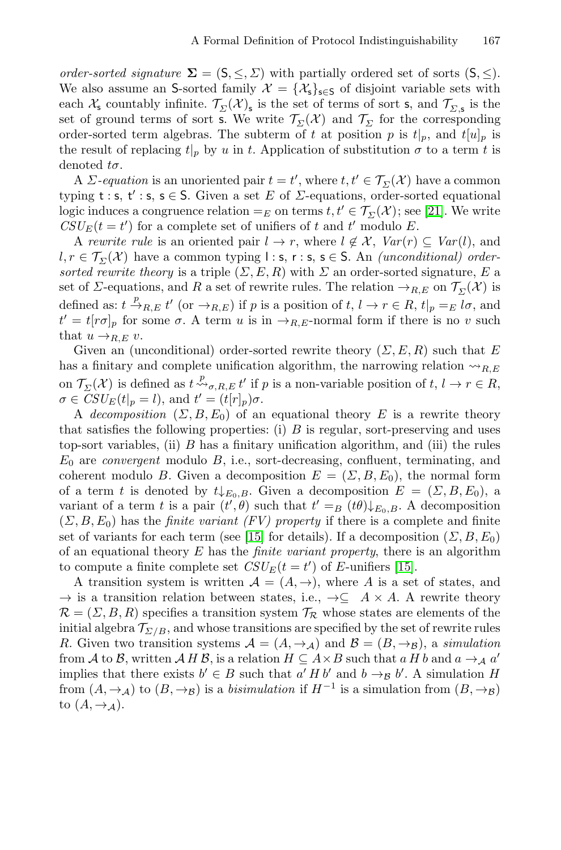*order-sorted signature*  $\Sigma = (S, \leq, \Sigma)$  with partially ordered set of sorts  $(S, \leq)$ . We also assume an [S](#page-15-10)-sorted family  $\mathcal{X} = {\mathcal{X}_{s}}_{s \in S}$  of disjoint variable sets with each  $\mathcal{X}_s$  countably infinite.  $\mathcal{T}_{\Sigma}(\mathcal{X})_s$  is the set of terms of sort s, and  $\mathcal{T}_{\Sigma,s}$  is the set of ground terms of sort s. We write  $\mathcal{T}_{\Sigma}(\mathcal{X})$  and  $\mathcal{T}_{\Sigma}$  for the corresponding order-sorted term algebras. The subterm of t at position p is  $t|_p$ , and  $t[u]_p$  is the result of replacing  $t|_p$  by u in t. Application of substitution  $\sigma$  to a term t is denoted  $t\sigma$ .

A  $\Sigma$ -equation is an unoriented pair  $t = t'$ , where  $t, t' \in \mathcal{T}_{\Sigma}(\mathcal{X})$  have a common typing t : s, t' : s, s  $\in$  S. Given a set E of  $\Sigma$ -equations, order-sorted equational logic induces a congruence relation  $-\infty$  on terms  $t$ ,  $t' \in \mathcal{T}$   $(X)$ ; see [21]. We write logic induces a congruence relation = E on terms  $t, t' \in \mathcal{T}_{\Sigma}(\mathcal{X});$  see [21]. We write  $CSU_E(t = t')$  for a complete set of unifiers of t and t' modulo E.

A *rewrite rule* is an oriented pair  $l \to r$ , where  $l \notin \mathcal{X}$ ,  $Var(r) \subseteq Var(l)$ , and  $l, r \in \mathcal{T}_{\Sigma}(\mathcal{X})$  have a common typing  $l : s, r : s, s \in S$ . An *(unconditional) ordersorted rewrite theory* is a triple  $(\Sigma, E, R)$  with  $\Sigma$  an order-sorted signature, E a set of  $\Sigma$ -equations, and R a set of rewrite rules. The relation  $\rightarrow_{R,E}$  on  $\mathcal{T}_{\Sigma}(\mathcal{X})$  is defined as:  $t \stackrel{p}{\to}_{R,E} t'$  (or  $\to_{R,E}$ ) if p is a position of  $t, l \to r \in R$ ,  $t|_p =_E l\sigma$ , and  $t' = t[r\sigma]_p$  for some  $\sigma$ . A term u is in  $\rightarrow_{R,E}$ -normal form if there is no v such that  $u \rightarrow_{R,E} v$ .

Given an (unconditional) order-sorted rewrite theory  $(\Sigma, E, R)$  such that E has a finitary and complete unification algorithm, the narrowing relation  $\leadsto_{R,E}$ on  $\mathcal{T}_{\Sigma}(\mathcal{X})$  is defined as  $t \stackrel{p}{\leadsto}_{\sigma,R,E} t'$  if p is a non-variable position of  $t, l \to r \in R$ ,  $\sigma \in \text{CSU}_E(t|_p = l)$ , and  $t' = (t[r]_p)\sigma$ .

A *decomposi[tion](#page-15-11)*  $(\Sigma, B, E_0)$  of an equational theory E is a rewrite theory that satisfies the following properties: (i)  $B$  is regular, sort-preserving and uses top-sort variables, (ii)  $B$  has a finitary uni[fica](#page-15-11)tion algorithm, and (iii) the rules  $E_0$  are *convergent* modulo  $B$ , i.e., sort-decreasing, confluent, terminating, and coherent modulo B. Given a decomposition  $E = (\Sigma, B, E_0)$ , the normal form of a term t is denoted by  $t\downarrow_{E_0,B}$ . Given a decomposition  $E = (\Sigma, B, E_0)$ , a variant of a term t is a pair  $(t', \theta)$  such that  $t' = B(t\theta) \downarrow_{E_0, B}$ . A decomposition  $(\Sigma, B, E_0)$  has the *finite variant (FV) property* if there is a complete and finite set of variants for each term (see [15] for details). If a decomposition  $(\Sigma, B, E_0)$ of an equational theory E has the *finite variant property*, there is an algorithm to compute a finite complete set  $CSU_E(t = t')$  of E-unifiers [15].

A transition system is written  $\mathcal{A} = (A, \rightarrow)$ , where A is a set of states, and  $\rightarrow$  is a transition relation between states, i.e.,  $\rightarrow \subseteq A \times A$ . A rewrite theory  $\mathcal{R} = (\Sigma, B, R)$  specifies a transition system  $\mathcal{T}_{\mathcal{R}}$  whose states are elements of the initial algebra  $\mathcal{T}_{\Sigma/B}$ , and whose transitions are specified by the set of rewrite rules R. Given two transition systems  $A = (A, \rightarrow_A)$  and  $B = (B, \rightarrow_B)$ , a *simulation* from A to B, written A H B, is a relation  $H \subseteq A \times B$  such that a H b and  $a \to_{A} a'$ implies that there exists  $b' \in B$  such that  $a' H b'$  and  $b \to_B b'$ . A simulation H from  $(A, \rightarrow_A)$  to  $(B, \rightarrow_B)$  is a *bisimulation* if  $H^{-1}$  is a simulation from  $(B, \rightarrow_B)$ to  $(A, \rightarrow_A)$ .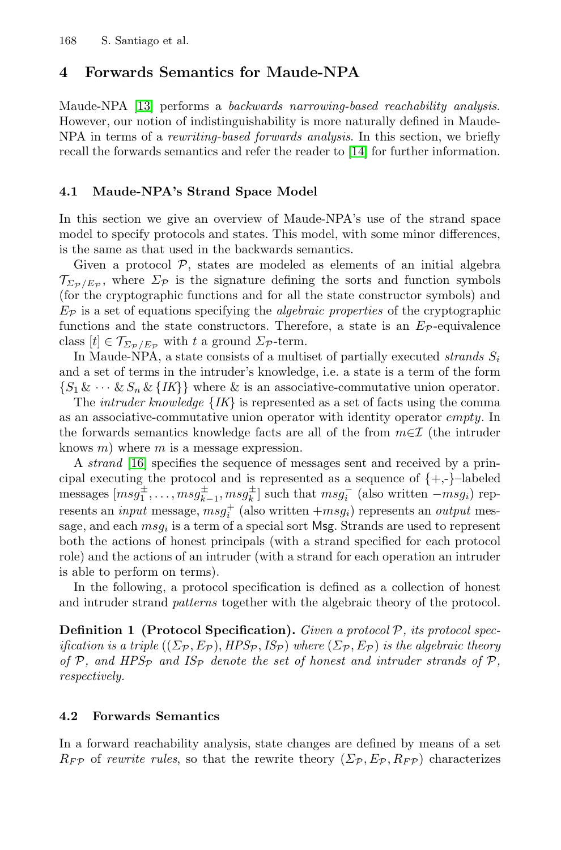### <span id="page-6-1"></span>**4 Forwards Semantics for Maude-NPA**

Maude-NPA [13] performs a *backwards narrowing-based reachability analysis*. However, our notion of indistinguishability is more naturally defined in Maude-NPA in terms of a *rewriting-based forwards analysis*. In this section, we briefly recall the forwards semantics and refer the reader to [14] for further information.

### **4.1 Maude-NPA's Strand Space Model**

In this section we give an overview of Maude-NPA's use of the strand space model to specify protocols and states. This model, with some minor differences, is the same as that used in the backwards semantics.

Given a protocol  $P$ , states are modeled as elements of an initial algebra  $\mathcal{T}_{\Sigma_{\mathcal{D}}/E_{\mathcal{D}}}$ , where  $\Sigma_{\mathcal{P}}$  is the signature defining the sorts and function symbols (for the cryptographic functions and for all the state constructor symbols) and E<sup>P</sup> is a set of equations specifying the *algebraic properties* of the cryptographic functions and the state constructors. Therefore, a state is an  $E_{\mathcal{P}}$ -equivalence class  $[t] \in \mathcal{T}_{\Sigma_{\mathcal{P}}/E_{\mathcal{P}}}$  with t a ground  $\Sigma_{\mathcal{P}}$ -term.

In Maude-NPA, a state consists of a multiset of partially executed *strands*  $S_i$ and a set of terms in the intruder's knowledge, i.e. a state is a term of the form  $\{S_1 \& \cdots \& S_n \& \{IK\} \}$  where  $\&$  is an associative-commutative union operator.

The *intruder knowledge* {*IK*} is represented as a set of facts using the comma as an associative-commutative union operator with identity operator empty. In the forwards semantics knowledge facts are all of the from  $m \in \mathcal{I}$  (the intruder knows  $m$ ) where  $m$  is a message expression.

<span id="page-6-0"></span>A *strand* [16] specifies the sequence of messages sent and received by a principal executing the protocol and is represented as a sequence of  $\{+,-\}$ -labeled messages  $[msg_1^{\pm}, \ldots, msg_{k-1}^{\pm}, msg_k^{\pm}]$  such that  $msg_i^{\pm}$  (also written  $-msg_i$ ) represents an *input* message,  $msg_i^+$  (also written  $+msg_i$ ) represents an *output* message, and each  $msg_i$  is a term of a special sort Msg. Strands are used to represent both the actions of honest principals (with a strand specified for each protocol role) and the actions of an intruder (with a strand for each operation an intruder is able to perform on terms).

In the following, a protocol specification is defined as a collection of honest and intruder strand *patterns* together with the algebraic theory of the protocol.

**Definition 1 (Protocol Specification).** *Given a protocol* P*, its protocol specification is a triple*  $((\Sigma_{\mathcal{P}}, E_{\mathcal{P}}), HPS_{\mathcal{P}}, ISp)$  *where*  $(\Sigma_{\mathcal{P}}, E_{\mathcal{P}})$  *is the algebraic theory of*  $P$ *, and HPS<sub>P</sub> and IS<sub>P</sub> denote the set of honest and intruder strands of*  $P$ *, respectively.*

#### **4.2 Forwards Semantics**

In a forward reachability analysis, state changes are defined by means of a set  $R_{FP}$  of *rewrite rules*, so that the rewrite theory  $(\Sigma_{\mathcal{P}}, E_{\mathcal{P}}, R_{FP})$  characterizes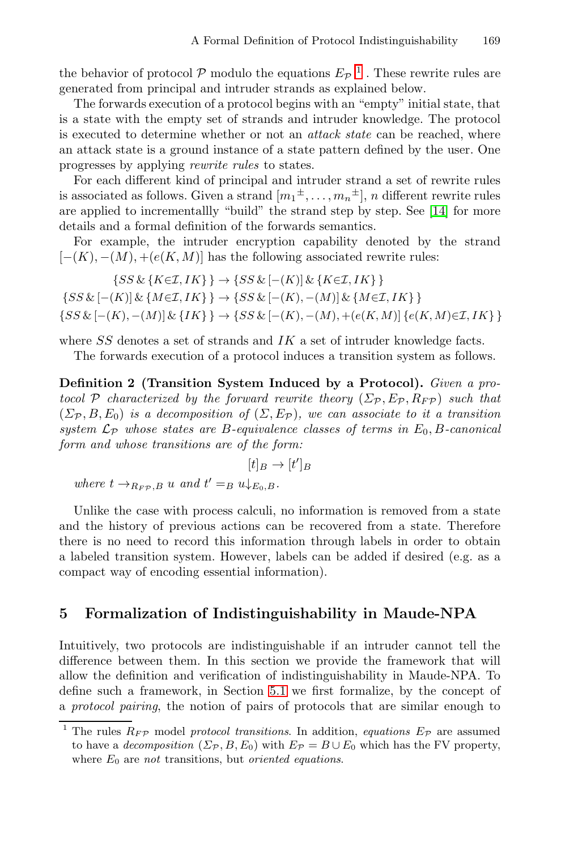the behavior of protocol  $P$  modulo the equations  $E_P^{-1}$ . These rewrite rules are generated from principal and intruder strands as [exp](#page-15-12)lained below.

<span id="page-7-1"></span>The forwards execution of a protocol begins with an "empty" initial state, that is a state with the empty set of strands and intruder knowledge. The protocol is executed to determine whether or not an *attack state* can be reached, where an attack state is a ground instance of a state pattern defined by the user. One progresses by applying *rewrite rules* to states.

For each different kind of principal and intruder strand a set of rewrite rules is associated as follows. Given a strand  $[m_1^{\pm},...,m_n^{\pm}], n$  different rewrite rules are applied to incrementallly "build" the strand step by step. See [14] for more details and a formal definition of the forwards semantics.

For example, the intruder encryption capability denoted by the strand  $[-(K), -(M), +(e(K, M)]$  has the following associated rewrite rules:

$$
\{SS \& \{K \in \mathcal{I}, IK\} \} \rightarrow \{SS \& [-(K)] \& \{K \in \mathcal{I}, IK\} \}
$$
  

$$
\{SS \& [-(K)] \& \{M \in \mathcal{I}, IK\} \} \rightarrow \{SS \& [-(K), -(M)] \& \{M \in \mathcal{I}, IK\} \}
$$
  

$$
\{SS \& [-(K), -(M)] \& \{IK\} \} \rightarrow \{SS \& [-(K), -(M), +(e(K, M)] \{e(K, M) \in \mathcal{I}, IK\} \}
$$

where  $SS$  denotes a set of strands and  $IK$  a set of intruder knowledge facts.

The forwards execution of a protocol induces a transition system as follows.

<span id="page-7-0"></span>**Definition 2 (Transition System Induced by a Protocol).** *Given a protocol* P *characterized by the forward rewrite theory*  $(\Sigma_{\mathcal{P}}, E_{\mathcal{P}}, R_{F\mathcal{P}})$  *such that*  $(\Sigma_{\mathcal{P}},B,E_0)$  *is a decomposition of*  $(\Sigma,E_{\mathcal{P}})$ *, we can associate to it a transition system*  $\mathcal{L}_{\mathcal{P}}$  *whose states are B-equivalence classes of terms in*  $E_0$ , *B-canonical form and whose transitions are of the form:*

$$
[t]_B \to [t']_B
$$
  
where  $t \to_{R_{FP},B} u$  and  $t' =_B u\downarrow_{E_0,B}$ .

Unlike the case with process calculi, no information is removed from a state and the history of previous actions can be recovered from a state. Therefore there is no need to record this information through labels in order to obtain a labeled transition system. However, labels can be added if desired (e.g. as a compact way of en[codin](#page-8-0)g essential information).

# **5 Formalization of Indistinguishability in Maude-NPA**

Intuitively, two protocols are indistinguishable if an intruder cannot tell the difference between them. In this section we provide the framework that will allow the definition and verification of indistinguishability in Maude-NPA. To define such a framework, in Section 5.1 we first formalize, by the concept of a *protocol pairing*, the notion of pairs of protocols that are similar enough to

The rules  $R_{FP}$  model *protocol transitions*. In addition, *equations*  $E_{\mathcal{P}}$  are assumed to have a *decomposition*  $(\Sigma_{\mathcal{P}}, B, E_0)$  with  $E_{\mathcal{P}} = B \cup E_0$  which has the FV property, where <sup>E</sup><sup>0</sup> are *not* transitions, but *oriented equations*.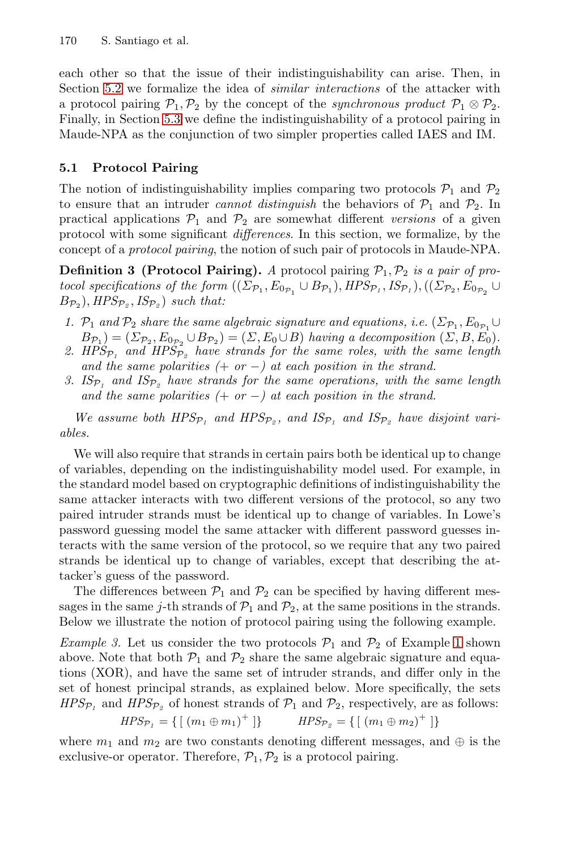<span id="page-8-0"></span>each other so that the issue of their indistinguishability can arise. Then, in Section 5.2 we formalize the idea of *similar interactions* of the attacker with a protocol pairing  $\mathcal{P}_1, \mathcal{P}_2$  by the concept of the *synchronous product*  $\mathcal{P}_1 \otimes \mathcal{P}_2$ . Finally, in Section 5.3 we define the indistinguishability of a protocol pairing in Maude-NPA as the conjunction of two simpler properties called IAES and IM.

### **5.1 Protocol Pairing**

The notion of indistinguishability implies comparing two protocols  $\mathcal{P}_1$  and  $\mathcal{P}_2$ to ensure that an intruder *cannot distinguish* the behaviors of  $P_1$  and  $P_2$ . In practical applications  $\mathcal{P}_1$  and  $\mathcal{P}_2$  are somewhat different *versions* of a given protocol with some significant *differences*. In this section, we formalize, by the concept of a *protocol pairing*, the notion of such pair of protocols in Maude-NPA.

**Definition 3 (Protocol Pairing).** *A* protocol pairing  $P_1, P_2$  *is a pair of protocol specifications of the form*  $((\Sigma_{\mathcal{P}_1}, E_{0_{\mathcal{P}_1}} \cup B_{\mathcal{P}_1}), HPS_{\mathcal{P}_1}, IS_{\mathcal{P}_1}), ((\Sigma_{\mathcal{P}_2}, E_{0_{\mathcal{P}_2}} \cup$  $B_{\mathcal{P}_2}$ ),  $HPS_{\mathcal{P}_2}$ ,  $IS_{\mathcal{P}_2}$ ) *such that:* 

- *1.*  $\mathcal{P}_1$  *and*  $\mathcal{P}_2$  *share the same algebraic signature and equations, i.e.*  $(\Sigma_{\mathcal{P}_1}, E_{0_{\mathcal{P}_1}} \cup$  $(B_{\mathcal{P}_1})=(\Sigma_{\mathcal{P}_2}, E_{0_{\mathcal{P}_2}} \cup B_{\mathcal{P}_2})=(\Sigma, E_0 \cup B)$  *having a decomposition*  $(\Sigma, B, E_0)$ *.*
- *2. HPS*<sup>P</sup>*<sup>1</sup> and HPS*<sup>P</sup>*<sup>2</sup> have strands for the same roles, with the same length and the same polarities*  $(+ or -)$  *at each position in the strand.*
- *3. IS*<sup>P</sup>*<sup>1</sup> and IS*<sup>P</sup>*<sup>2</sup> have strands for the same operations, with the same length and the same polarities*  $(+ or -)$  *at each position in the strand.*

*We assume both HPS* $_{\mathcal{P}_1}$  *and HPS* $_{\mathcal{P}_2}$ *, and IS* $_{\mathcal{P}_1}$  *and IS* $_{\mathcal{P}_2}$  *have disjoint variables.*

We will also require that strands in certain pairs both be identical up to change of variables, depending on the indistinguishability model used. For example, in the standard model based on cryptographic definitions of indistinguishability the same attacker interacts with two different versions of the protocol, so any two paired intruder strands must be identical up to change of variables. In Lowe's password guessing model the same attacker with di[ffer](#page-2-0)ent password guesses interacts with the same version of the protocol, so we require that any two paired strands be identical up to change of variables, except that describing the attacker's guess of the password.

The differences between  $\mathcal{P}_1$  and  $\mathcal{P}_2$  can be specified by having different messages in the same j-th strands of  $\mathcal{P}_1$  and  $\mathcal{P}_2$ , at the same positions in the strands. Below we illustrate the notion of protocol pairing using the following example.

*Example 3.* Let us consider the two protocols  $P_1$  and  $P_2$  of Example 1 shown above. Note that both  $\mathcal{P}_1$  and  $\mathcal{P}_2$  share the same algebraic signature and equations (XOR), and have the same set of intruder strands, and differ only in the set of honest principal strands, as explained below. More specifically, the sets  $HPS_{\mathcal{P}_1}$  and  $HPS_{\mathcal{P}_2}$  of honest strands of  $\mathcal{P}_1$  and  $\mathcal{P}_2$ , respectively, are as follows:

$$
HPS_{\mathcal{P}_1} = \{ [ (m_1 \oplus m_1)^+ ] \} \qquad HPS_{\mathcal{P}_2} = \{ [ (m_1 \oplus m_2)^+ ] \}
$$

where  $m_1$  and  $m_2$  are two constants denoting different messages, and  $\oplus$  is the exclusive-or operator. Therefore,  $\mathcal{P}_1, \mathcal{P}_2$  is a protocol pairing.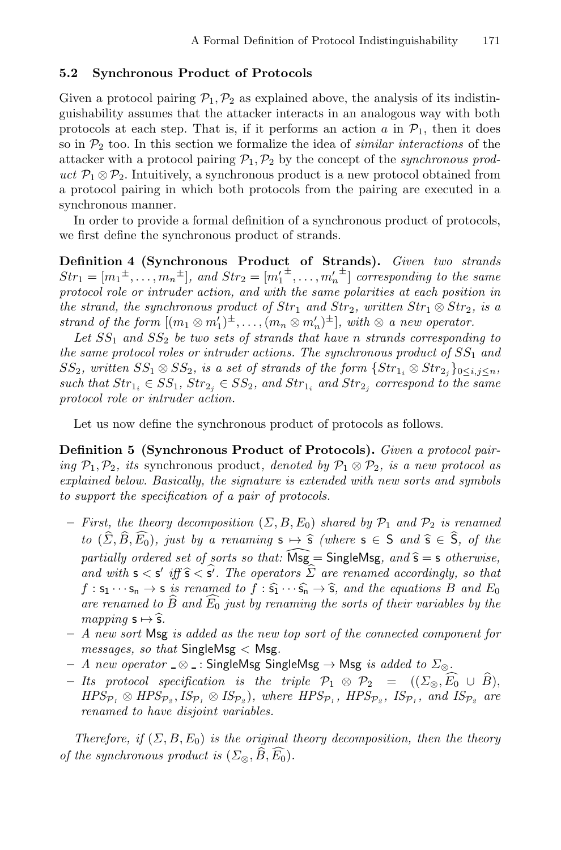#### **5.2 Synchronous Product of Protocols**

Given a protocol pairing  $\mathcal{P}_1,\mathcal{P}_2$  as explained above, the analysis of its indistinguishability assumes that the attacker interacts in an analogous way with both protocols at each step. That is, if it performs an action a in  $\mathcal{P}_1$ , then it does so in  $\mathcal{P}_2$  too. In this section we formalize the idea of *similar interactions* of the attacker with a protocol pairing P1,P<sup>2</sup> by the concept of the *synchronous product*  $\mathcal{P}_1 \otimes \mathcal{P}_2$ . Intuitively, a synchronous product is a new protocol obtained from a protocol pairing in which both protocols from the pairing are executed in a synchronous manner.

In order to provide a formal definition of a synchronous product of protocols, we first define the synchronous product of strands.

**Definition 4 (Synchronous Product of Strands).** *Given two strands*  $Str_1 = [m_1^{\pm}, \ldots, m_n^{\pm}],$  and  $Str_2 = [m'_1^{\pm}, \ldots, m'_n^{\pm}]$  corresponding to the same *protocol role or intruder action, and with the same polarities at each position in the strand, the synchronous product of*  $Str_1$  *and*  $Str_2$ *, written*  $Str_1 \otimes Str_2$ *, is a strand of the form*  $[(m_1 \otimes m'_1)^{\pm}, \ldots, (m_n \otimes m'_n)^{\pm}]$ *, with*  $\otimes$  *a new operator.* 

<span id="page-9-0"></span>Let  $SS_1$  and  $SS_2$  be two sets of strands that have n *strands corresponding to the same protocol roles or intruder actions. The synchronous product of*  $SS<sub>1</sub>$  *and* SS<sub>2</sub>, written  $SS_1 \otimes SS_2$ , is a set of strands of the form  $\{Str_{1i} \otimes Str_{2j}\}_{0 \le i,j \le n}$ ,  $such that Str_{1i} \in SS_1, Str_{2i} \in SS_2, and Str_{1i} and Str_{2i} correspond to the same$ *protocol role or intruder action.*

Let us now define the synchronous product of protocols as follows.

**Definition 5 (Synchronous Product of Protocols).** *Given a protocol pairing*  $\mathcal{P}_1, \mathcal{P}_2$ *, its* synchronous product*, denoted by*  $\mathcal{P}_1 \otimes \mathcal{P}_2$ *, is a new protocol as explained below. Basically, the signature is extended with new sorts and symbols to support the specification of a pair of protocols.*

- $-$  *First, the theory decomposition*  $(\Sigma, B, E_0)$  *shared by*  $\mathcal{P}_1$  *and*  $\mathcal{P}_2$  *is renamed top totals* (*L*) *top are if to the specification of a pair of protocols.<br>
<i>First, the theory decomposition*  $(\Sigma, B, E_0)$  *shared by*  $\mathcal{P}_1$  *and*  $\mathcal{P}_2$  *is renamed* to  $(\widehat{\Sigma}, \widehat{B}, \widehat{E_0})$ *, just by a renaming First, the theory decomposition*  $(\Sigma, B, E_0)$  *shared by*  $\mathcal{P}_1$  *and*  $\mathcal{P}_2$  *is renamed* to  $(\widehat{\Sigma}, \widehat{B}, \widehat{E_0})$ *, just by a renaming*  $\mathbf{s} \mapsto \widehat{\mathbf{s}}$  (where  $\mathbf{s} \in \mathbf{S}$  *and*  $\widehat{\mathbf{s}} \in \widehat{\mathbf{S}}$ *, of t and with* s  $\leq$  *s i are renaming*  $\leq$   $\leq$  *s i are renaming*  $\leq$   $\leq$  *s i are renaming*  $\leq$   $\leq$   $\leq$  *s i are s*  $\leq$  *s and*  $\hat{s} \in \hat{S}$ , *of the partially ordered set of sorts so th* for  $(2, B, E_0)$ , first by a renaming  $\overline{s} \rightarrow \overline{s}$  (and partially ordered set of sorts so that:  $\overline{\text{Msg}} = \text{Si}$ <br>and with  $\overline{s} < \overline{s}'$  iff  $\hat{s} < \hat{s}'$ . The operators  $\hat{\Sigma}$  are  $f : s_1 \cdots s_n \rightarrow \overline{s}$  is renamed to  $\hat{f}$ <sup>s</sup>*, and the equations* <sup>B</sup> *and* <sup>E</sup><sup>0</sup> *partially ordered set of set*<br>and with  $s < s'$  iff  $\hat{s} < \hat{s}'$ .<br> $f : s_1 \cdots s_n \rightarrow s$  is renamed<br>are renamed to  $\hat{B}$  and  $\widehat{E_0}$ . *and* E <sup>0</sup> *just by renaming the sorts of their variables by the and with*  $s < s'$ <br>  $f : s_1 \cdots s_n \rightarrow s$ <br> *are renamed to*<br> *mapping*  $s \mapsto \hat{s}$ <br> *A new sort* Ms *mapping*  $s \mapsto \widehat{s}$ .
- **–** *A new sort* Msg *is added as the new top sort of the connected component for messages, so that* SingleMsg <sup>&</sup>lt; Msg*. – A* new sort Msg is added as the new top sort of the connected component for<br>
messages, so that SingleMsg < Msg.<br> *– A* new operator  $\Omega \otimes \Omega$  : SingleMsg SingleMsg → Msg is added to  $\Sigma_{\otimes}$ .<br> *– Its protocol spe*
- $-$  *A new operator*  $\Box \otimes \bot$ : SingleMsg SingleMsg → Msg *is added to*  $\Sigma_{\otimes}$ *.*
- $HPS_{\mathcal{P}_1} \otimes HPS_{\mathcal{P}_2}$ ,  $IS_{\mathcal{P}_1} \otimes IS_{\mathcal{P}_2}$ , *where*  $HPS_{\mathcal{P}_1}$ ,  $HPS_{\mathcal{P}_2}$ ,  $IS_{\mathcal{P}_1}$ , and  $IS_{\mathcal{P}_2}$  are *renamed to have disjoint variables.*

*Therefore, if*  $(\Sigma, B, E_0)$  *is the original theory decomposition, then the theory of the synchronous product is*  $(\Sigma, B, E_0)$  *is the original is*  $(\Sigma_{\otimes}, \widehat{B}, \widehat{E_0})$ .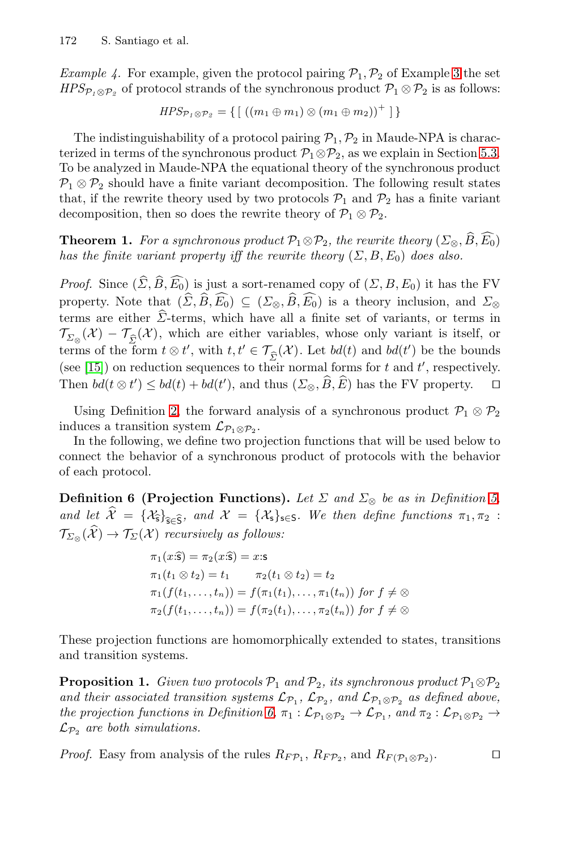*Example 4.* For example, given the protocol pairing  $P_1$ ,  $P_2$  of Example 3 the set *HPS* $_{P_1\otimes P_2}$  of protocol strands of the synchronous product  $P_1\otimes P_2$  is as follows:

$$
HPS_{\mathcal{P}_1 \otimes \mathcal{P}_2} = \{ \big[ \ ((m_1 \oplus m_1) \otimes (m_1 \oplus m_2))^{+} \ ] \}
$$

The indistinguishability of a protocol pairing  $\mathcal{P}_1, \mathcal{P}_2$  in Maude-NPA is characterized in terms of the synchronous product  $\mathcal{P}_1 \otimes \mathcal{P}_2$ , as we explain in Section 5.3. To be analyzed in Maude-NPA the equational theory of the synchronous product  $P_1 \otimes P_2$  should have a finite variant decomposition. The following result states that, if the rewrite theory used by two protocols  $\mathcal{P}_1$  and  $\mathcal{P}_2$  has a finite variant decomposition, then so does the rewrite theory of  $\mathcal{P}_1 \otimes \mathcal{P}_2$ . that, if the rewrite theory used by two protocols  $\mathcal{P}_1$  and  $\mathcal{P}_2$  has a finite variant decomposition, then so does the rewrite theory of  $\mathcal{P}_1 \otimes \mathcal{P}_2$ .<br> **Theorem 1.** For a synchronous product  $\mathcal{P}_1 \otimes \mathcal{$ 

*has the finite variant property iff the rewrite theory*  $(\Sigma, B, E_0)$  *does also.* **Theorem 1.** For a synchronous product  $\mathcal{P}_1 \otimes \mathcal{P}_2$ , the rewrite theory  $(\Sigma_{\otimes}, \hat{B}, \hat{E}_0)$  has the finite variant property iff the rewrite theory  $(\Sigma, B, E_0)$  does also.<br>*Proof.* Since  $(\widehat{\Sigma}, \widehat{B}, \widehat{E_0})$  is j

<span id="page-10-0"></span>has the finite variant p[rop](#page-7-1)erty iff the rewrit<br>Proof. Since  $(\hat{\Sigma}, \hat{B}, \hat{E_0})$  is just a sort-renan<br>property. Note that  $(\hat{\Sigma}, \hat{B}, \hat{E_0}) \subseteq (\Sigma_{\otimes}, \hat{B})$ ,  $(B, E_0) \subseteq (\Sigma_{\otimes}, B, E_0)$  is a theory inclusion, and  $\Sigma_{\otimes}$ *Proof.* Since  $(\widehat{\Sigma}, \widehat{B})$ <br>property. Note that<br>terms are either  $\widehat{\Sigma}$ terms are either  $\hat{\Sigma}$ -terms, which have all a finite set of variants, or terms in terms are either  $\hat{\Sigma}$ -terms, which have all a finite set of variants, or terms in  $\mathcal{T}_{\Sigma_{\otimes}}(\mathcal{X}) - \mathcal{T}_{\hat{\Sigma}}(\mathcal{X})$ , which are either variables, whose only variant is itself, or  $\mathcal{T}_{\Sigma_{\otimes}}(\mathcal{X}) - \mathcal{T}_{\widehat{\Sigma}}(\mathcal{X})$ , which are either variables, whose only variant is itself, or terms of the form  $t \otimes t'$ , with  $t, t' \in \mathcal{T}_{\widehat{\Sigma}}(\mathcal{X})$ . Let  $bd(t)$  and  $bd(t')$  be the bounds (see [15]) on reduction sequences to their normal forms for t and  $t'$ , respectively. T[he](#page-9-0)n  $bd(t \otimes t') \leq bd(t) + bd(t')$ , and thus  $(\Sigma_{\otimes}, B, E)$  has the FV property.  $\square$  $t, t' \in \mathcal{T}_{\widehat{\Sigma}}(\mathcal{X})$ . Let bd(<br>ces to their normal for<br>), and thus  $(\Sigma_{\otimes}, \widehat{B}, \widehat{E})$ 

Using Definition 2, the forward analysis of a synchronous product  $\mathcal{P}_1 \otimes \mathcal{P}_2$ induces a transition system  $\mathcal{L}_{\mathcal{P}_1\otimes\mathcal{P}_2}$ .

In the following, we define two projection functions that will be used below to connect the behavior of a synchronous product of protocols with the behavior of each protocol.

**Definition 6 (Projection Functions).** *Let* Σ *and* Σ<sup>⊗</sup> *be as in Definition 5, a* of each protocol.<br> **Definition 6 (Projection Functions).** Let  $\Sigma$  and  $\Sigma_{\otimes}$  be as in Definition 5, and let  $\hat{\mathcal{X}} = {\mathcal{X}_{\mathbf{s}}}_{\mathbf{s}\in\mathbf{\hat{S}}}$ , and  $\mathcal{X} = {\mathcal{X}_{\mathbf{s}}}_{\mathbf{s}\in\mathbf{\hat{S}}}$ . We then define functions **Defini**<br>and let  $) \rightarrow \mathcal{T}_{\Sigma}(\mathcal{X})$  *recursively as follows:*  $\{\mathcal{X}_{\widehat{S}}\}_{\widehat{S}\in\widehat{S}}$ , and  $\mathcal{X}$ <br>  $(\mathcal{X})$  recursively a<br>  $\pi_1(x:\widehat{S}) = \pi_2(x:\widehat{S})$ 

 $\pi_1(x:\hat{s}) = \pi_2(x:\hat{s}) = x:\textbf{s}$ <br>  $\pi_1(t_1 \otimes t_2) = t_1$   $\pi_2(t_1 \otimes t_2) = t_2$  $\pi_1(t_1 \otimes t_2) = t_1 \qquad \pi_2(t_1 \otimes t_2) = t_2$  $\pi_1(f(t_1,\ldots,t_n)) = f(\pi_1(t_1),\ldots,\pi_1(t_n))$  $\pi_1(f(t_1,\ldots,t_n)) = f(\pi_1(t_1),\ldots,\pi_1(t_n))$  $\pi_1(f(t_1,\ldots,t_n)) = f(\pi_1(t_1),\ldots,\pi_1(t_n))$  *for*  $f \neq \otimes$  $\pi_2(f(t_1,...,t_n)) = f(\pi_2(t_1),..., \pi_2(t_n))$  *for*  $f \neq \emptyset$ 

These projection functions are homomorphically extended to states, transitions and transition systems.

**Proposition 1.** *Given two protocols*  $\mathcal{P}_1$  *and*  $\mathcal{P}_2$ *, its synchronous product*  $\mathcal{P}_1 \otimes \mathcal{P}_2$ *and their associated transition systems*  $\mathcal{L}_{\mathcal{P}_1}$ ,  $\mathcal{L}_{\mathcal{P}_2}$ , and  $\mathcal{L}_{\mathcal{P}_1 \otimes \mathcal{P}_2}$  *as defined above, the projection functions in Definition 6,*  $\pi_1 : \mathcal{L}_{\mathcal{P}_1 \otimes \mathcal{P}_2} \to \mathcal{L}_{\mathcal{P}_1}$ , and  $\pi_2 : \mathcal{L}_{\mathcal{P}_1 \otimes \mathcal{P}_2} \to$  $\mathcal{L}_{\mathcal{P}_{2}}$  *are both simulations.* 

*Proof.* Easy from analysis of the rules  $R_F \mathcal{P}_1$ ,  $R_F \mathcal{P}_2$ , and  $R_F(\mathcal{P}_1 \otimes \mathcal{P}_2)$ .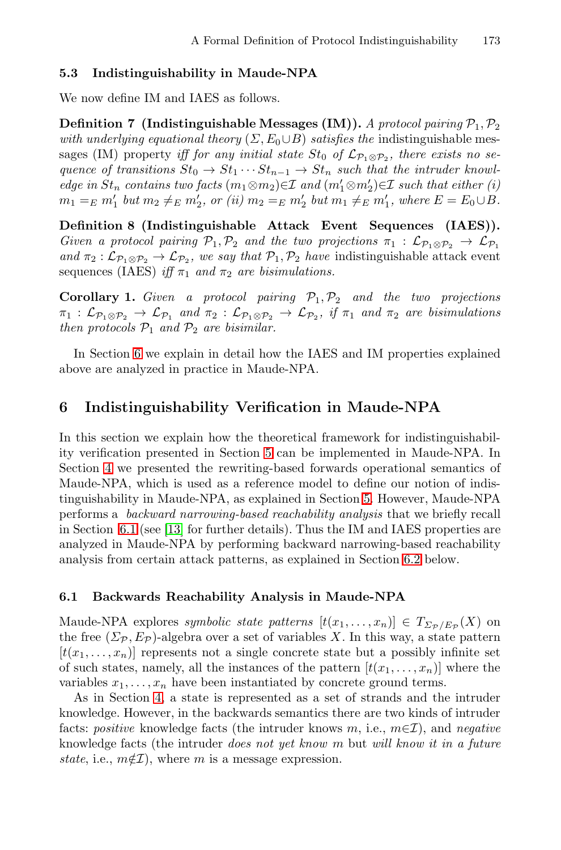#### **5.3 Indistinguishability in Maude-NPA**

We now define IM and IAES as follows.

**Definition 7** (Indistinguishable Messages (IM)). *A protocol pairing*  $P_1, P_2$ *with underlying equational theory*  $(\Sigma, E_0 \cup B)$  *satisfies the* indistinguishable messages (IM) property *iff for any initial state*  $St_0$  *of*  $\mathcal{L}_{\mathcal{P}_1 \otimes \mathcal{P}_2}$ *, there exists no sequence of transitions*  $St_0 \to St_1 \cdots St_{n-1} \to St_n$  *such that the intruder knowledge in*  $St_n$  *contains two facts*  $(m_1 \otimes m_2) \in \mathcal{I}$  *and*  $(m'_1 \otimes m'_2) \in \mathcal{I}$  *such that either (i)*  $m_1 =_E m'_1$  but  $m_2 \neq_E m'_2$ , or (ii)  $m_2 =_E m'_2$  but  $m_1 \neq_E m'_1$ , where  $E = E_0 \cup B$ .

**Definition 8 (Indistinguishable Attack Event Sequences (IAES)).** *Given a protocol pairing*  $\mathcal{P}_1, \mathcal{P}_2$  *and the two projections*  $\pi_1 : \mathcal{L}_{\mathcal{P}_1 \otimes \mathcal{P}_2} \to \mathcal{L}_{\mathcal{P}_1}$ *and*  $\pi_2$ :  $\mathcal{L}_{\mathcal{P}_1 \otimes \mathcal{P}_2} \to \mathcal{L}_{\mathcal{P}_2}$ , we say that  $\mathcal{P}_1, \mathcal{P}_2$  have indistinguishable attack event sequences (IAES) *iff*  $\pi_1$  *and*  $\pi_2$  *are bisimulations.* 

**Corollary 1.** *Given a protocol pairing*  $P_1, P_2$  *and the two projections*  $\pi_1 : \mathcal{L}_{\mathcal{P}_1 \otimes \mathcal{P}_2} \to \mathcal{L}_{\mathcal{P}_1}$  and  $\pi_2 : \mathcal{L}_{\mathcal{P}_1 \otimes \mathcal{P}_2} \to \mathcal{L}_{\mathcal{P}_2}$ , if  $\pi_1$  and  $\pi_2$  are bisimulations *then protocols*  $P_1$  *[and](#page-7-0)*  $P_2$  *are bisimilar.* 

In Section 6 we explain in detail how the IAES and IM properties explained above are analyzed in practice in Maude-NPA.

# **[6](#page-15-13) Indistinguishability Verification in Maude-NPA**

In this section we explain how the theoreti[cal f](#page-12-0)ramework for indistinguishability verification presented in Section 5 can be implemented in Maude-NPA. In Section 4 we presented the rewriting-based forwards operational semantics of Maude-NPA, which is used as a reference model to define our notion of indistinguishability in Maude-NPA, as explained in Section 5. However, Maude-NPA performs a *backward narrowing-based reachability analysis* that we briefly recall in Section 6.1 (see [13] for further details). Thus the IM and IAES properties are analyzed in Maude-NPA by performing backward narrowing-based reachability analysis from certain attack patterns, as explained in Section 6.2 below.

#### **6.1 Backwards Reachability Analysis in Maude-NPA**

Maude-NPA explores *symbolic state patterns*  $[t(x_1,...,x_n)] \in T_{\Sigma_{\mathcal{P}}/E_{\mathcal{P}}}(X)$  on the free  $(\Sigma_{\mathcal{P}}, E_{\mathcal{P}})$ -algebra over a set of variables X. In this way, a state pattern  $[t(x_1,...,x_n)]$  represents not a single concrete state but a possibly infinite set of such states, namely, all the instances of the pattern  $[t(x_1,...,x_n)]$  where the variables  $x_1, \ldots, x_n$  have been instantiated by concrete ground terms.

As in Section 4, a state is represented as a set of strands and the intruder knowledge. However, in the backwards semantics there are two kinds of intruder facts: *positive* knowledge facts (the intruder knows m, i.e.,  $m \in \mathcal{I}$ ), and *negative* knowledge facts (the intruder *does not yet know* m but *will know it in a future state*, i.e.,  $m\notin\mathcal{I}$ , where m is a message expression.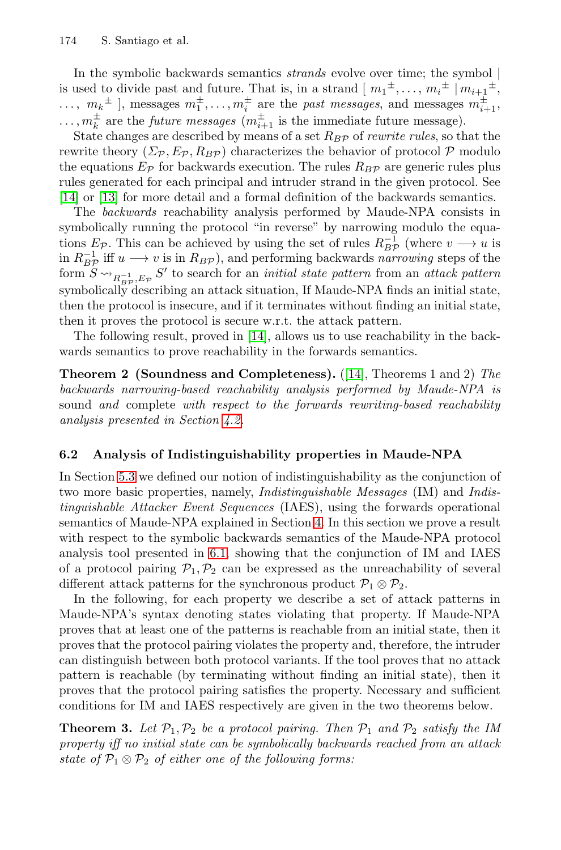In the symbolic backwards semantics *strands* evolve over time; the symbol | is used to divide past and future. That is, in a strand  $[m_1^{\pm},...,m_i^{\pm}]m_{i+1}^{\pm}$ ,  $\ldots, m_k^{\pm}$  ], messages  $m_1^{\pm}, \ldots, m_i^{\pm}$  are the *past messages*, and messages  $m_{i+1}^{\pm}$ ,  $\dots, m_k^{\pm}$  are the *future messages*  $(m_{i+1}^{\pm}$  is the immediate future message).

State changes are described by means of a set  $R_{BP}$  of *rewrite rules*, so that the rewrite theory  $(\Sigma_{\mathcal{P}}, E_{\mathcal{P}}, R_{\mathcal{B}\mathcal{P}})$  characterizes the behavior of protocol  $\mathcal{P}$  modulo the equations  $E_{\mathcal{P}}$  for backwards execution. The rules  $R_{\mathcal{BP}}$  are generic rules plus rules generated for each principal and intruder strand in the given protocol. See [14] or [13] for more detail and a formal definition of the backwards semantics.

<span id="page-12-0"></span>The *backwards* reachability analysis performed by Maude-NPA consists in symbolically ru[nnin](#page-15-12)g the protocol "in reverse" by narrowing modulo the equations  $E_{\mathcal{P}}$ . This can be achieved by using the set of rules  $R_{BP}^{-1}$  (where  $v \longrightarrow u$  is in  $R_{BP}^{-1}$  iff  $u \longrightarrow v$  is in  $R_{BP}$ ), an[d pe](#page-15-12)rforming backwards *narrowing* steps of the form  $S \sim_{R_{\rho}^{-1}, E_{\rho}} S'$  to search for an *initial state pattern* from an *attack pattern* symbolically describing an attack situation, If Maude-NPA finds an initial state, then the pr[otoc](#page-6-0)ol is insecure, and if it terminates without finding an initial state, then it proves the protocol is secure w.r.t. the attack pattern.

The following result, proved in [14], allows us to use reachability in the backwards semantics to prove reachability in the forwards semantics.

**Theorem 2 (Soundness and Completeness).** ([14], Theorems 1 and 2) *The backwards narrowing-based reachability analysis performed by Maude-NPA is* sound *and* complete *with [res](#page-6-1)pect to the forwards rewriting-based reachability analysis presented in Section 4.2.*

### **6.2 Analysis of Indistinguishability properties in Maude-NPA**

In Section 5.3 we defined our notion of indistinguishability as the conjunction of two more basic properties, namely, *Indistinguishable Messages* (IM) and *Indistinguishable Attacker Event Sequences* (IAES), using the forwards operational semantics of Maude-NPA explained in Section 4. In this section we prove a result with respect to the symbolic backwards semantics of the Maude-NPA protocol analysis tool presented in 6.1, showing that the conjunction of IM and IAES of a protocol pairing  $P_1, P_2$  can be expressed as the unreachability of several different attack patterns for the synchronous product  $\mathcal{P}_1 \otimes \mathcal{P}_2$ .

In the following, for each property we describe a set of attack patterns in Maude-NPA's syntax denoting states violating that property. If Maude-NPA proves that at least one of the patterns is reachable from an initial state, then it proves that the protocol pairing violates the property and, therefore, the intruder can distinguish between both protocol variants. If the tool proves that no attack pattern is reachable (by terminating without finding an initial state), then it proves that the protocol pairing satisfies the property. Necessary and sufficient conditions for IM and IAES respectively are given in the two theorems below.

**Theorem 3.** Let  $\mathcal{P}_1, \mathcal{P}_2$  be a protocol pairing. Then  $\mathcal{P}_1$  and  $\mathcal{P}_2$  satisfy the IM *property iff no initial state can be symbolically backwards reached from an attack state of*  $\mathcal{P}_1 \otimes \mathcal{P}_2$  *of either one of the following forms:*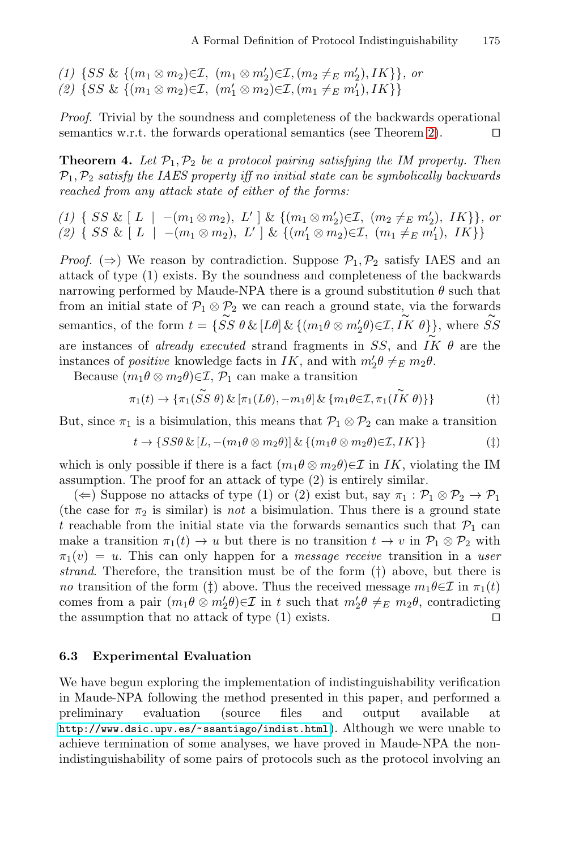*(1)* {SS & { $(m_1 ⊗ m_2) ∈ \mathcal{I}$ ,  $(m_1 ⊗ m'_2) ∈ \mathcal{I}$ ,  $(m_2 ≠_E m'_2)$ ,  $IK$ }*}*, *or* (2) {SS & {( $m_1 \otimes m_2$ )∈I, ( $m'_1 \otimes m_2$ )∈I, ( $m_1 \neq_{E} m'_1$ ), IK}}

*Proof.* Trivial by the soundness and completeness of the backwards operational semantics w.r.t. the forwards operational semantics (see Theorem 2).  $\Box$ 

**Theorem 4.** Let  $\mathcal{P}_1, \mathcal{P}_2$  be a protocol pairing satisfying the IM property. Then P1,P<sup>2</sup> *satisfy the IAES property iff no initial state can be symbolically backwards reached from any attack state of either of the forms:*

*(1)* { SS & [L | −(m<sub>1</sub> ⊗ m<sub>2</sub>), L' ] & {(m<sub>1</sub> ⊗ m'<sub>2</sub>)∈ I, (m<sub>2</sub> ≠ E m'<sub>2</sub>), IK}}, or (2) { SS & [L | −(m<sub>1</sub> ⊗ m<sub>2</sub>), L' ] & {(m'<sub>1</sub> ⊗ m<sub>2</sub>)∈ I, (m<sub>1</sub> ≠ E m'<sub>1</sub>), IK}}

*Proof.* ( $\Rightarrow$ ) We reason by contradiction. Suppose  $\mathcal{P}_1, \mathcal{P}_2$  satisfy IAES and an attack of type (1) exists. By the soundness and completeness of the backwards narrowing performed by Maude-NPA there is a ground substitution  $\theta$  such that from an initial state of  $\mathcal{P}_1 \otimes \mathcal{P}_2$  we can reach a ground state, via the forwards semantics, of the form  $t = \{$  $\widetilde{SS}$  θ & [Lθ] & {(m<sub>1</sub>θ ⊗ m'<sub>2</sub>θ)∈*I*, ∼  $\widetilde{IK}$  θ}}, where  $\widetilde{SS}$ are instances of *already executed* strand fragments in SS, and  $\overline{IK}$   $\theta$  are the instances of *positive* knowledge facts in  $IK$ , and with  $m'_2\theta \neq_E m_2\theta$ .

Because  $(m_1 \theta \otimes m_2 \theta) \in \mathcal{I}, \mathcal{P}_1$  can make a transition

$$
\pi_1(t) \to \{\pi_1(SS \theta) \& [\pi_1(L\theta), -m_1\theta] \& \{m_1\theta \in \mathcal{I}, \pi_1(IK \theta)\}\}\
$$
 (†)

But, since  $\pi_1$  is a bisimulation, this means that  $\mathcal{P}_1 \otimes \mathcal{P}_2$  can make a transition

$$
t \to \{SS\theta \& [L, -(m_1\theta \otimes m_2\theta)] \& \{(m_1\theta \otimes m_2\theta) \in \mathcal{I}, IK\}\}\tag{\ddagger}
$$

which is only possible if there is a fact  $(m_1\theta \otimes m_2\theta) \in \mathcal{I}$  in *IK*, violating the IM assumption. The proof for an attack of type (2) is entirely similar.

( $\Leftarrow$ ) Suppose no attacks of type (1) or (2) exist but, say  $\pi_1 : \mathcal{P}_1 \otimes \mathcal{P}_2 \to \mathcal{P}_1$ (the case for  $\pi_2$  is similar) is *not* a bisimulation. Thus there is a ground state t reachable from the initial state via the forwards semantics such that  $\mathcal{P}_1$  can make a transition  $\pi_1(t) \to u$  but there is no transition  $t \to v$  in  $\mathcal{P}_1 \otimes \mathcal{P}_2$  with  $\pi_1(v) = u$ . This can only happen for a *message receive* transition in a *user strand*. Therefore, the transition must be of the form (†) above, but there is *no* transition of the form ( $\ddagger$ ) above. Thus the received message  $m_1\theta\in\mathcal{I}$  in  $\pi_1(t)$ comes from a pair  $(m_1\theta \otimes m_2'\theta) \in \mathcal{I}$  in t such that  $m_2'\theta \neq_E m_2\theta$ , contradicting [the assumption that no attack](http://www.dsic.upv.es/~ssantiago/indist.html) of type  $(1)$  exists.

#### **6.3 Experimental Evaluation**

We have begun exploring the implementation of indistinguishability verification in Maude-NPA following the method presented in this paper, and performed a preliminary evaluation (source files and output available at http://www.dsic.upv.es/~ssantiago/indist.html). Although we were unable to achieve termination of some analyses, we have proved in Maude-NPA the nonindistinguishability of some pairs of protocols such as the protocol involving an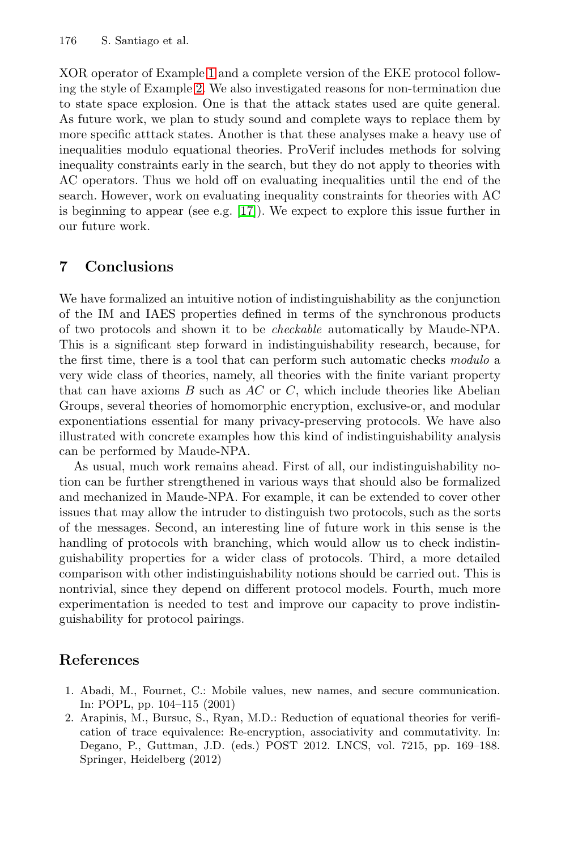<span id="page-14-1"></span>XOR operator of Example 1 and a complete version of the EKE protocol following the style o[f Ex](#page-15-14)ample 2. We also investigated reasons for non-termination due to state space explosion. One is that the attack states used are quite general. As future work, we plan to study sound and complete ways to replace them by more specific atttack states. Another is that these analyses make a heavy use of inequalities modulo equational theories. ProVerif includes methods for solving inequality constraints early in the search, but they do not apply to theories with AC operators. Thus we hold off on evaluating inequalities until the end of the search. However, work on evaluating inequality constraints for theories with AC is beginning to appear (see e.g. [17]). We expect to explore this issue further in our future work.

# **7 Conclusions**

We have formalized an intuitive notion of indistinguishability as the conjunction of the IM and IAES properties defined in terms of the synchronous products of two protocols and shown it to be *checkable* automatically by Maude-NPA. This is a significant step forward in indistinguishability research, because, for the first time, there is a tool that can perform such automatic checks *modulo* a very wide class of theories, namely, all theories with the finite variant property that can have axioms  $B$  such as  $AC$  or  $C$ , which include theories like Abelian Groups, several theories of homomorphic encryption, exclusive-or, and modular exponentiations essential for many privacy-preserving protocols. We have also illustrated with concrete examples how this kind of indistinguishability analysis can be performed by Maude-NPA.

<span id="page-14-3"></span><span id="page-14-2"></span><span id="page-14-0"></span>As usual, much work remains ahead. First of all, our indistinguishability notion can be further strengthened in various ways that should also be formalized and mechanized in Maude-NPA. For example, it can be extended to cover other issues that may allow the intruder to distinguish two protocols, such as the sorts of the messages. Second, an interesting line of future work in this sense is the handling of protocols with branching, which would allow us to check indistinguishability properties for a wider class of protocols. Third, a more detailed comparison with other indistinguishability notions should be carried out. This is nontrivial, since they depend on different protocol models. Fourth, much more experimentation is needed to test and improve our capacity to prove indistinguishability for protocol pairings.

### **References**

- 1. Abadi, M., Fournet, C.: Mobile values, new names, and secure communication. In: POPL, pp. 104–115 (2001)
- 2. Arapinis, M., Bursuc, S., Ryan, M.D.: Reduction of equational theories for verification of trace equivalence: Re-encryption, associativity and commutativity. In: Degano, P., Guttman, J.D. (eds.) POST 2012. LNCS, vol. 7215, pp. 169–188. Springer, Heidelberg (2012)